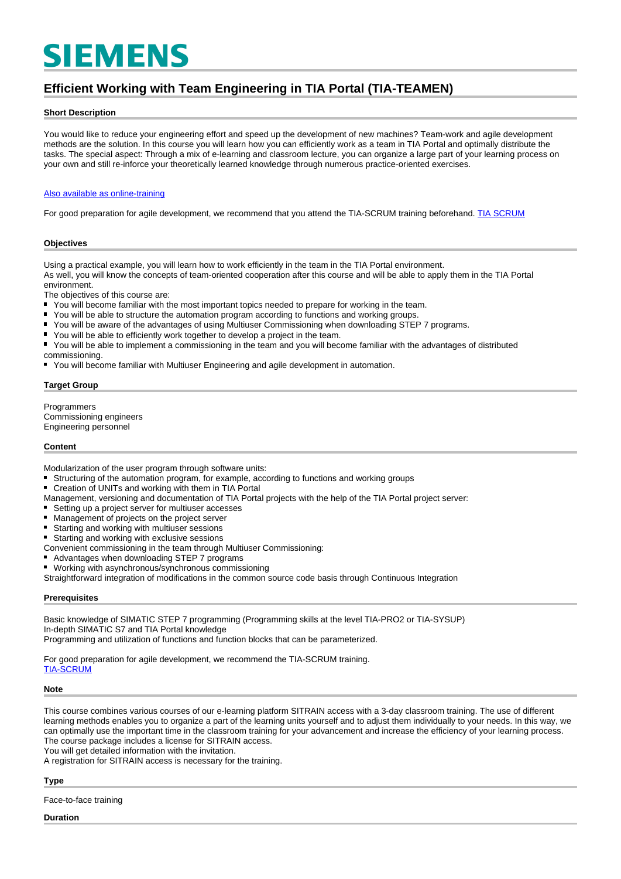# **SIEMENS**

## **Efficient Working with Team Engineering in TIA Portal (TIA-TEAMEN)**

#### **Short Description**

You would like to reduce your engineering effort and speed up the development of new machines? Team-work and agile development methods are the solution. In this course you will learn how you can efficiently work as a team in TIA Portal and optimally distribute the tasks. The special aspect: Through a mix of e-learning and classroom lecture, you can organize a large part of your learning process on your own and still re-inforce your theoretically learned knowledge through numerous practice-oriented exercises.

#### [Also available as online-training](https://www.sitrain-learning.siemens.com/DE/en/rw94730/)

For good preparation for agile development, we recommend that you attend the TIA-SCRUM training beforehand. [TIA SCRUM](https://www.sitrain-learning.siemens.com/DE/en/rw32893/)

#### **Objectives**

Using a practical example, you will learn how to work efficiently in the team in the TIA Portal environment. As well, you will know the concepts of team-oriented cooperation after this course and will be able to apply them in the TIA Portal environment.

The objectives of this course are:<br>■ You will become familiar with the

- You will become familiar with the most important topics needed to prepare for working in the team.
- You will be able to structure the automation program according to functions and working groups.
- You will be aware of the advantages of using Multiuser Commissioning when downloading STEP 7 programs.
- You will be able to efficiently work together to develop a project in the team.
- $\blacksquare$ You will be able to implement a commissioning in the team and you will become familiar with the advantages of distributed

commissioning.

■ You will become familiar with Multiuser Engineering and agile development in automation.

#### **Target Group**

Programmers Commissioning engineers Engineering personnel

#### **Content**

Modularization of the user program through software units:

- Structuring of the automation program, for example, according to functions and working groups
- $\blacksquare$ Creation of UNITs and working with them in TIA Portal
- Management, versioning and documentation of TIA Portal projects with the help of the TIA Portal project server:
- Setting up a project server for multiuser accesses
- $\blacksquare$ Management of projects on the project server
- Starting and working with multiuser sessions
- Starting and working with exclusive sessions
- Convenient commissioning in the team through Multiuser Commissioning:
- Advantages when downloading STEP 7 programs
- Working with asynchronous/synchronous commissioning

Straightforward integration of modifications in the common source code basis through Continuous Integration

#### **Prerequisites**

Basic knowledge of SIMATIC STEP 7 programming (Programming skills at the level TIA-PRO2 or TIA-SYSUP) In-depth SIMATIC S7 and TIA Portal knowledge

Programming and utilization of functions and function blocks that can be parameterized.

For good preparation for agile development, we recommend the TIA-SCRUM training. [TIA-SCRUM](https://www.sitrain-learning.siemens.com/DE/en/rw32893/)

#### **Note**

This course combines various courses of our e-learning platform SITRAIN access with a 3-day classroom training. The use of different learning methods enables you to organize a part of the learning units yourself and to adjust them individually to your needs. In this way, we can optimally use the important time in the classroom training for your advancement and increase the efficiency of your learning process. The course package includes a license for SITRAIN access. You will get detailed information with the invitation.

A registration for SITRAIN access is necessary for the training.

#### **Type**

Face-to-face training

#### **Duration**